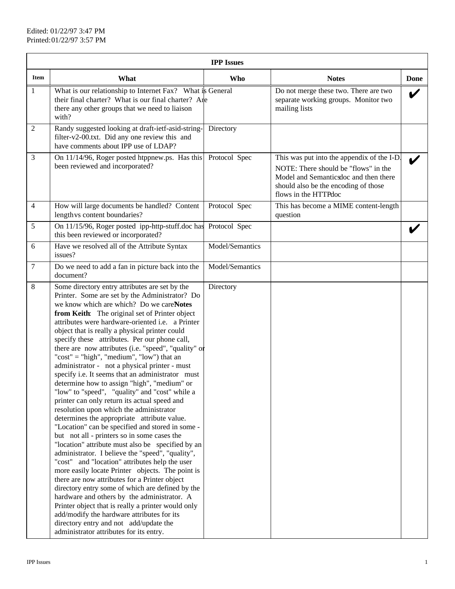|                 | <b>IPP</b> Issues                                                                                                                                                                                                                                                                                                                                                                                                                                                                                                                                                                                                                                                                                                                                                                                                                                                                                                                                                                                                                                                                                                                                                                                                                                                                                                                                                                                                                                                            |                 |                                                                                                                                                                                             |      |  |  |
|-----------------|------------------------------------------------------------------------------------------------------------------------------------------------------------------------------------------------------------------------------------------------------------------------------------------------------------------------------------------------------------------------------------------------------------------------------------------------------------------------------------------------------------------------------------------------------------------------------------------------------------------------------------------------------------------------------------------------------------------------------------------------------------------------------------------------------------------------------------------------------------------------------------------------------------------------------------------------------------------------------------------------------------------------------------------------------------------------------------------------------------------------------------------------------------------------------------------------------------------------------------------------------------------------------------------------------------------------------------------------------------------------------------------------------------------------------------------------------------------------------|-----------------|---------------------------------------------------------------------------------------------------------------------------------------------------------------------------------------------|------|--|--|
| Item            | What                                                                                                                                                                                                                                                                                                                                                                                                                                                                                                                                                                                                                                                                                                                                                                                                                                                                                                                                                                                                                                                                                                                                                                                                                                                                                                                                                                                                                                                                         | <b>Who</b>      | <b>Notes</b>                                                                                                                                                                                | Done |  |  |
| $\mathbf{1}$    | What is our relationship to Internet Fax? What is General<br>their final charter? What is our final charter? Are<br>there any other groups that we need to liaison<br>with?                                                                                                                                                                                                                                                                                                                                                                                                                                                                                                                                                                                                                                                                                                                                                                                                                                                                                                                                                                                                                                                                                                                                                                                                                                                                                                  |                 | Do not merge these two. There are two<br>separate working groups. Monitor two<br>mailing lists                                                                                              |      |  |  |
| 2               | Randy suggested looking at draft-ietf-asid-string-<br>filter-v2-00.txt. Did any one review this and<br>have comments about IPP use of LDAP?                                                                                                                                                                                                                                                                                                                                                                                                                                                                                                                                                                                                                                                                                                                                                                                                                                                                                                                                                                                                                                                                                                                                                                                                                                                                                                                                  | Directory       |                                                                                                                                                                                             |      |  |  |
| $\mathfrak{Z}$  | On 11/14/96, Roger posted htppnew.ps. Has this<br>been reviewed and incorporated?                                                                                                                                                                                                                                                                                                                                                                                                                                                                                                                                                                                                                                                                                                                                                                                                                                                                                                                                                                                                                                                                                                                                                                                                                                                                                                                                                                                            | Protocol Spec   | This was put into the appendix of the I-D.<br>NOTE: There should be "flows" in the<br>Model and Semanticsdoc and then there<br>should also be the encoding of those<br>flows in the HTTPdoc |      |  |  |
| $\overline{4}$  | How will large documents be handled? Content<br>length vs content boundaries?                                                                                                                                                                                                                                                                                                                                                                                                                                                                                                                                                                                                                                                                                                                                                                                                                                                                                                                                                                                                                                                                                                                                                                                                                                                                                                                                                                                                | Protocol Spec   | This has become a MIME content-length<br>question                                                                                                                                           |      |  |  |
| 5               | On 11/15/96, Roger posted ipp-http-stuff.doc has Protocol Spec<br>this been reviewed or incorporated?                                                                                                                                                                                                                                                                                                                                                                                                                                                                                                                                                                                                                                                                                                                                                                                                                                                                                                                                                                                                                                                                                                                                                                                                                                                                                                                                                                        |                 |                                                                                                                                                                                             |      |  |  |
| 6               | Have we resolved all of the Attribute Syntax<br>issues?                                                                                                                                                                                                                                                                                                                                                                                                                                                                                                                                                                                                                                                                                                                                                                                                                                                                                                                                                                                                                                                                                                                                                                                                                                                                                                                                                                                                                      | Model/Semantics |                                                                                                                                                                                             |      |  |  |
| $7\phantom{.0}$ | Do we need to add a fan in picture back into the<br>document?                                                                                                                                                                                                                                                                                                                                                                                                                                                                                                                                                                                                                                                                                                                                                                                                                                                                                                                                                                                                                                                                                                                                                                                                                                                                                                                                                                                                                | Model/Semantics |                                                                                                                                                                                             |      |  |  |
| $\,8\,$         | Some directory entry attributes are set by the<br>Printer. Some are set by the Administrator? Do<br>we know which are which? Do we careNotes<br>from Keith: The original set of Printer object<br>attributes were hardware-oriented i.e. a Printer<br>object that is really a physical printer could<br>specify these attributes. Per our phone call,<br>there are now attributes (i.e. "speed", "quality" or<br>" $cost" = "high", "medium", "low") that an$<br>administrator - not a physical printer - must<br>specify i.e. It seems that an administrator must<br>determine how to assign "high", "medium" or<br>"low" to "speed", "quality" and "cost" while a<br>printer can only return its actual speed and<br>resolution upon which the administrator<br>determines the appropriate attribute value.<br>"Location" can be specified and stored in some -<br>but not all - printers so in some cases the<br>"location" attribute must also be specified by an<br>administrator. I believe the "speed", "quality",<br>"cost" and "location" attributes help the user<br>more easily locate Printer objects. The point is<br>there are now attributes for a Printer object<br>directory entry some of which are defined by the<br>hardware and others by the administrator. A<br>Printer object that is really a printer would only<br>add/modify the hardware attributes for its<br>directory entry and not add/update the<br>administrator attributes for its entry. | Directory       |                                                                                                                                                                                             |      |  |  |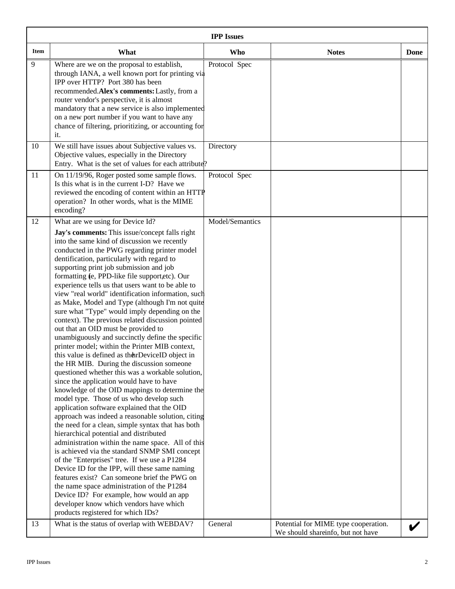|      | <b>IPP</b> Issues                                                                                                                                                                                                                                                                                                                                                                                                                                                                                                                                                                                                                                                                                                                                                                                                                                                                                                                                                                                                                                                                                                                                                                                                                                                                                                                                                                                                                                                                                                                                                                                  |               |                                      |      |  |  |
|------|----------------------------------------------------------------------------------------------------------------------------------------------------------------------------------------------------------------------------------------------------------------------------------------------------------------------------------------------------------------------------------------------------------------------------------------------------------------------------------------------------------------------------------------------------------------------------------------------------------------------------------------------------------------------------------------------------------------------------------------------------------------------------------------------------------------------------------------------------------------------------------------------------------------------------------------------------------------------------------------------------------------------------------------------------------------------------------------------------------------------------------------------------------------------------------------------------------------------------------------------------------------------------------------------------------------------------------------------------------------------------------------------------------------------------------------------------------------------------------------------------------------------------------------------------------------------------------------------------|---------------|--------------------------------------|------|--|--|
| Item | What                                                                                                                                                                                                                                                                                                                                                                                                                                                                                                                                                                                                                                                                                                                                                                                                                                                                                                                                                                                                                                                                                                                                                                                                                                                                                                                                                                                                                                                                                                                                                                                               | <b>Who</b>    | <b>Notes</b>                         | Done |  |  |
| 9    | Where are we on the proposal to establish,<br>through IANA, a well known port for printing via<br>IPP over HTTP? Port 380 has been<br>recommended. Alex's comments: Lastly, from a<br>router vendor's perspective, it is almost<br>mandatory that a new service is also implemented<br>on a new port number if you want to have any<br>chance of filtering, prioritizing, or accounting for<br>it.                                                                                                                                                                                                                                                                                                                                                                                                                                                                                                                                                                                                                                                                                                                                                                                                                                                                                                                                                                                                                                                                                                                                                                                                 | Protocol Spec |                                      |      |  |  |
| 10   | We still have issues about Subjective values vs.<br>Objective values, especially in the Directory<br>Entry. What is the set of values for each attribute?                                                                                                                                                                                                                                                                                                                                                                                                                                                                                                                                                                                                                                                                                                                                                                                                                                                                                                                                                                                                                                                                                                                                                                                                                                                                                                                                                                                                                                          | Directory     |                                      |      |  |  |
| 11   | On 11/19/96, Roger posted some sample flows.<br>Is this what is in the current I-D? Have we<br>reviewed the encoding of content within an HTTP<br>operation? In other words, what is the MIME<br>encoding?                                                                                                                                                                                                                                                                                                                                                                                                                                                                                                                                                                                                                                                                                                                                                                                                                                                                                                                                                                                                                                                                                                                                                                                                                                                                                                                                                                                         | Protocol Spec |                                      |      |  |  |
|      | What are we using for Device Id?<br>Jay's comments: This issue/concept falls right<br>into the same kind of discussion we recently<br>conducted in the PWG regarding printer model<br>dentification, particularly with regard to<br>supporting print job submission and job<br>formatting (e, PPD-like file support,etc). Our<br>experience tells us that users want to be able to<br>view "real world" identification information, such<br>as Make, Model and Type (although I'm not quite<br>sure what "Type" would imply depending on the<br>context). The previous related discussion pointed<br>out that an OID must be provided to<br>unambiguously and succinctly define the specific<br>printer model; within the Printer MIB context,<br>this value is defined as the arDeviceID object in<br>the HR MIB. During the discussion someone<br>questioned whether this was a workable solution,<br>since the application would have to have<br>knowledge of the OID mappings to determine the<br>model type. Those of us who develop such<br>application software explained that the OID<br>approach was indeed a reasonable solution, citing<br>the need for a clean, simple syntax that has both<br>hierarchical potential and distributed<br>administration within the name space. All of this<br>is achieved via the standard SNMP SMI concept<br>of the "Enterprises" tree. If we use a P1284<br>Device ID for the IPP, will these same naming<br>features exist? Can someone brief the PWG on<br>the name space administration of the P1284<br>Device ID? For example, how would an app |               |                                      |      |  |  |
| 13   | developer know which vendors have which<br>products registered for which IDs?<br>What is the status of overlap with WEBDAV?                                                                                                                                                                                                                                                                                                                                                                                                                                                                                                                                                                                                                                                                                                                                                                                                                                                                                                                                                                                                                                                                                                                                                                                                                                                                                                                                                                                                                                                                        | General       | Potential for MIME type cooperation. |      |  |  |
|      |                                                                                                                                                                                                                                                                                                                                                                                                                                                                                                                                                                                                                                                                                                                                                                                                                                                                                                                                                                                                                                                                                                                                                                                                                                                                                                                                                                                                                                                                                                                                                                                                    |               | We should shareinfo, but not have    |      |  |  |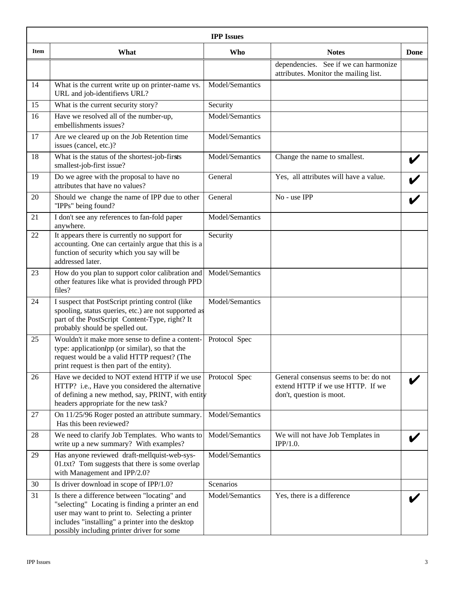|             | <b>IPP</b> Issues                                                                                                                                                                                                                                    |                 |                                                                                                        |      |  |  |
|-------------|------------------------------------------------------------------------------------------------------------------------------------------------------------------------------------------------------------------------------------------------------|-----------------|--------------------------------------------------------------------------------------------------------|------|--|--|
| <b>Item</b> | What                                                                                                                                                                                                                                                 | <b>Who</b>      | <b>Notes</b>                                                                                           | Done |  |  |
|             |                                                                                                                                                                                                                                                      |                 | dependencies. See if we can harmonize<br>attributes. Monitor the mailing list.                         |      |  |  |
| 14          | What is the current write up on printer-name vs.<br>URL and job-identifiervs URL?                                                                                                                                                                    | Model/Semantics |                                                                                                        |      |  |  |
| 15          | What is the current security story?                                                                                                                                                                                                                  | Security        |                                                                                                        |      |  |  |
| 16          | Have we resolved all of the number-up,<br>embellishments issues?                                                                                                                                                                                     | Model/Semantics |                                                                                                        |      |  |  |
| 17          | Are we cleared up on the Job Retention time<br>issues (cancel, etc.)?                                                                                                                                                                                | Model/Semantics |                                                                                                        |      |  |  |
| 18          | What is the status of the shortest-job-firsts<br>smallest-job-first issue?                                                                                                                                                                           | Model/Semantics | Change the name to smallest.                                                                           |      |  |  |
| 19          | Do we agree with the proposal to have no<br>attributes that have no values?                                                                                                                                                                          | General         | Yes, all attributes will have a value.                                                                 |      |  |  |
| 20          | Should we change the name of IPP due to other<br>"IPPs" being found?                                                                                                                                                                                 | General         | No - use IPP                                                                                           |      |  |  |
| 21          | I don't see any references to fan-fold paper<br>anywhere.                                                                                                                                                                                            | Model/Semantics |                                                                                                        |      |  |  |
| 22          | It appears there is currently no support for<br>accounting. One can certainly argue that this is a<br>function of security which you say will be<br>addressed later.                                                                                 | Security        |                                                                                                        |      |  |  |
| 23          | How do you plan to support color calibration and<br>other features like what is provided through PPD<br>files?                                                                                                                                       | Model/Semantics |                                                                                                        |      |  |  |
| 24          | I suspect that PostScript printing control (like<br>spooling, status queries, etc.) are not supported as<br>part of the PostScript Content-Type, right? It<br>probably should be spelled out.                                                        | Model/Semantics |                                                                                                        |      |  |  |
| 25          | Wouldn't it make more sense to define a content-<br>type: application <i>ipp</i> (or similar), so that the<br>request would be a valid HTTP request? (The<br>print request is then part of the entity).                                              | Protocol Spec   |                                                                                                        |      |  |  |
| 26          | Have we decided to NOT extend HTTP if we use<br>HTTP? i.e., Have you considered the alternative<br>of defining a new method, say, PRINT, with entity<br>headers appropriate for the new task?                                                        | Protocol Spec   | General consensus seems to be: do not<br>extend HTTP if we use HTTP. If we<br>don't, question is moot. |      |  |  |
| 27          | On 11/25/96 Roger posted an attribute summary.<br>Has this been reviewed?                                                                                                                                                                            | Model/Semantics |                                                                                                        |      |  |  |
| 28          | We need to clarify Job Templates. Who wants to<br>write up a new summary? With examples?                                                                                                                                                             | Model/Semantics | We will not have Job Templates in<br>IPP/1.0.                                                          |      |  |  |
| 29          | Has anyone reviewed draft-mellquist-web-sys-<br>01.txt? Tom suggests that there is some overlap<br>with Management and IPP/2.0?                                                                                                                      | Model/Semantics |                                                                                                        |      |  |  |
| 30          | Is driver download in scope of IPP/1.0?                                                                                                                                                                                                              | Scenarios       |                                                                                                        |      |  |  |
| 31          | Is there a difference between "locating" and<br>"selecting" Locating is finding a printer an end<br>user may want to print to. Selecting a printer<br>includes "installing" a printer into the desktop<br>possibly including printer driver for some | Model/Semantics | Yes, there is a difference                                                                             |      |  |  |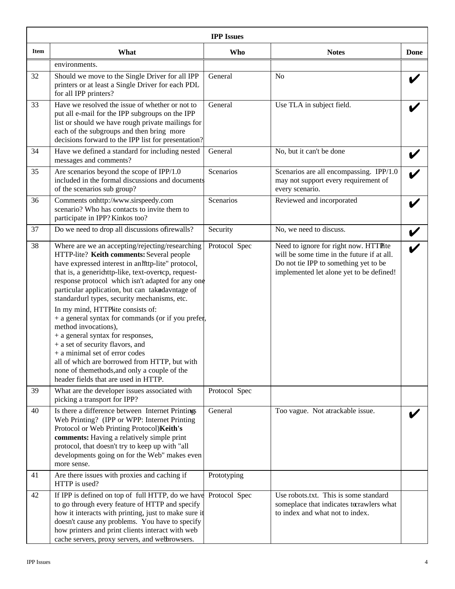|      | <b>IPP</b> Issues                                                                                                                                                                                                                                                                                                                                                                                                                                                                                                                                                                                                                                                                                                                         |               |                                                                                                                                                                          |      |  |  |
|------|-------------------------------------------------------------------------------------------------------------------------------------------------------------------------------------------------------------------------------------------------------------------------------------------------------------------------------------------------------------------------------------------------------------------------------------------------------------------------------------------------------------------------------------------------------------------------------------------------------------------------------------------------------------------------------------------------------------------------------------------|---------------|--------------------------------------------------------------------------------------------------------------------------------------------------------------------------|------|--|--|
| Item | What                                                                                                                                                                                                                                                                                                                                                                                                                                                                                                                                                                                                                                                                                                                                      | <b>Who</b>    | <b>Notes</b>                                                                                                                                                             | Done |  |  |
|      | environments.                                                                                                                                                                                                                                                                                                                                                                                                                                                                                                                                                                                                                                                                                                                             |               |                                                                                                                                                                          |      |  |  |
| 32   | Should we move to the Single Driver for all IPP<br>printers or at least a Single Driver for each PDL<br>for all IPP printers?                                                                                                                                                                                                                                                                                                                                                                                                                                                                                                                                                                                                             | General       | N <sub>o</sub>                                                                                                                                                           |      |  |  |
| 33   | Have we resolved the issue of whether or not to<br>put all e-mail for the IPP subgroups on the IPP<br>list or should we have rough private mailings for<br>each of the subgroups and then bring more<br>decisions forward to the IPP list for presentation?                                                                                                                                                                                                                                                                                                                                                                                                                                                                               | General       | Use TLA in subject field.                                                                                                                                                |      |  |  |
| 34   | Have we defined a standard for including nested<br>messages and comments?                                                                                                                                                                                                                                                                                                                                                                                                                                                                                                                                                                                                                                                                 | General       | No, but it can't be done                                                                                                                                                 |      |  |  |
| 35   | Are scenarios beyond the scope of IPP/1.0<br>included in the formal discussions and documents<br>of the scenarios sub group?                                                                                                                                                                                                                                                                                                                                                                                                                                                                                                                                                                                                              | Scenarios     | Scenarios are all encompassing. IPP/1.0<br>may not support every requirement of<br>every scenario.                                                                       |      |  |  |
| 36   | Comments onhttp://www.sirspeedy.com<br>scenario? Who has contacts to invite them to<br>participate in IPP? Kinkos too?                                                                                                                                                                                                                                                                                                                                                                                                                                                                                                                                                                                                                    | Scenarios     | Reviewed and incorporated                                                                                                                                                |      |  |  |
| 37   | Do we need to drop all discussions of irewalls?                                                                                                                                                                                                                                                                                                                                                                                                                                                                                                                                                                                                                                                                                           | Security      | No, we need to discuss.                                                                                                                                                  |      |  |  |
| 38   | Where are we an accepting/rejecting/researching<br>HTTP-lite? Keith comments: Several people<br>have expressed interest in an littp-lite" protocol,<br>that is, a generichttp-like, text-overtcp, request-<br>response protocol which isn't adapted for any one<br>particular application, but can takedavntage of<br>standardurl types, security mechanisms, etc.<br>In my mind, HTTPHite consists of:<br>+ a general syntax for commands (or if you prefer,<br>method invocations),<br>+ a general syntax for responses,<br>+ a set of security flavors, and<br>+ a minimal set of error codes<br>all of which are borrowed from HTTP, but with<br>none of themethods, and only a couple of the<br>header fields that are used in HTTP. | Protocol Spec | Need to ignore for right now. HTTPhte<br>will be some time in the future if at all.<br>Do not tie IPP to something yet to be<br>implemented let alone yet to be defined! |      |  |  |
| 39   | What are the developer issues associated with<br>picking a transport for IPP?                                                                                                                                                                                                                                                                                                                                                                                                                                                                                                                                                                                                                                                             | Protocol Spec |                                                                                                                                                                          |      |  |  |
| 40   | Is there a difference between Internet Printings<br>Web Printing? (IPP or WPP: Internet Printing<br>Protocol or Web Printing Protocol) Keith's<br>comments: Having a relatively simple print<br>protocol, that doesn't try to keep up with "all<br>developments going on for the Web" makes even<br>more sense.                                                                                                                                                                                                                                                                                                                                                                                                                           | General       | Too vague. Not atrackable issue.                                                                                                                                         |      |  |  |
| 41   | Are there issues with proxies and caching if<br>HTTP is used?                                                                                                                                                                                                                                                                                                                                                                                                                                                                                                                                                                                                                                                                             | Prototyping   |                                                                                                                                                                          |      |  |  |
| 42   | If IPP is defined on top of full HTTP, do we have<br>to go through every feature of HTTP and specify<br>how it interacts with printing, just to make sure it<br>doesn't cause any problems. You have to specify<br>how printers and print clients interact with web<br>cache servers, proxy servers, and webrowsers.                                                                                                                                                                                                                                                                                                                                                                                                                      | Protocol Spec | Use robots.txt. This is some standard<br>someplace that indicates torrawlers what<br>to index and what not to index.                                                     |      |  |  |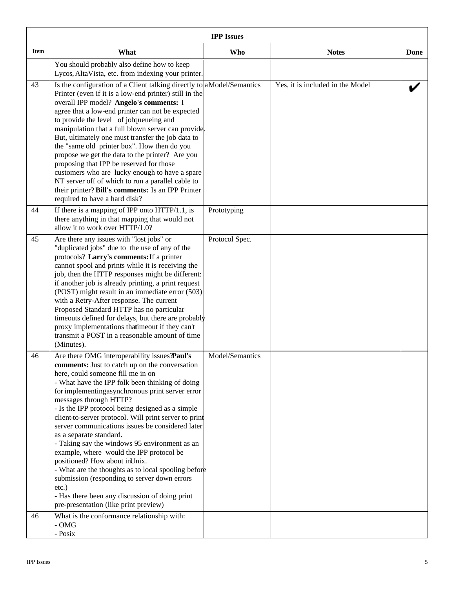|             | <b>IPP</b> Issues                                                                                                                                                                                                                                                                                                                                                                                                                                                                                                                                                                                                                                                                                                                                                                                               |                 |                                  |      |  |
|-------------|-----------------------------------------------------------------------------------------------------------------------------------------------------------------------------------------------------------------------------------------------------------------------------------------------------------------------------------------------------------------------------------------------------------------------------------------------------------------------------------------------------------------------------------------------------------------------------------------------------------------------------------------------------------------------------------------------------------------------------------------------------------------------------------------------------------------|-----------------|----------------------------------|------|--|
| <b>Item</b> | What                                                                                                                                                                                                                                                                                                                                                                                                                                                                                                                                                                                                                                                                                                                                                                                                            | <b>Who</b>      | <b>Notes</b>                     | Done |  |
|             | You should probably also define how to keep<br>Lycos, AltaVista, etc. from indexing your printer.                                                                                                                                                                                                                                                                                                                                                                                                                                                                                                                                                                                                                                                                                                               |                 |                                  |      |  |
| 43          | Is the configuration of a Client talking directly to a Model/Semantics<br>Printer (even if it is a low-end printer) still in the<br>overall IPP model? Angelo's comments: I<br>agree that a low-end printer can not be expected<br>to provide the level of jobqueueing and<br>manipulation that a full blown server can provide.<br>But, ultimately one must transfer the job data to<br>the "same old printer box". How then do you<br>propose we get the data to the printer? Are you<br>proposing that IPP be reserved for those<br>customers who are lucky enough to have a spare<br>NT server off of which to run a parallel cable to<br>their printer? Bill's comments: Is an IPP Printer<br>required to have a hard disk?                                                                                |                 | Yes, it is included in the Model |      |  |
| 44          | If there is a mapping of IPP onto $HTTP/1.1$ , is<br>there anything in that mapping that would not<br>allow it to work over HTTP/1.0?                                                                                                                                                                                                                                                                                                                                                                                                                                                                                                                                                                                                                                                                           | Prototyping     |                                  |      |  |
| 45          | Are there any issues with "lost jobs" or<br>"duplicated jobs" due to the use of any of the<br>protocols? Larry's comments: If a printer<br>cannot spool and prints while it is receiving the<br>job, then the HTTP responses might be different:<br>if another job is already printing, a print request<br>(POST) might result in an immediate error (503)<br>with a Retry-After response. The current<br>Proposed Standard HTTP has no particular<br>timeouts defined for delays, but there are probably<br>proxy implementations thatimeout if they can't<br>transmit a POST in a reasonable amount of time<br>(Minutes).                                                                                                                                                                                     | Protocol Spec.  |                                  |      |  |
| 46          | Are there OMG interoperability issues <b>Paul's</b><br>comments: Just to catch up on the conversation<br>here, could someone fill me in on<br>- What have the IPP folk been thinking of doing<br>for implementingasynchronous print server error<br>messages through HTTP?<br>- Is the IPP protocol being designed as a simple<br>client-to-server protocol. Will print server to print<br>server communications issues be considered later<br>as a separate standard.<br>- Taking say the windows 95 environment as an<br>example, where would the IPP protocol be<br>positioned? How about inUnix.<br>- What are the thoughts as to local spooling before<br>submission (responding to server down errors<br>etc.)<br>- Has there been any discussion of doing print<br>pre-presentation (like print preview) | Model/Semantics |                                  |      |  |
| 46          | What is the conformance relationship with:<br>$\mbox{-}\mathbf{OMG}$<br>- Posix                                                                                                                                                                                                                                                                                                                                                                                                                                                                                                                                                                                                                                                                                                                                 |                 |                                  |      |  |